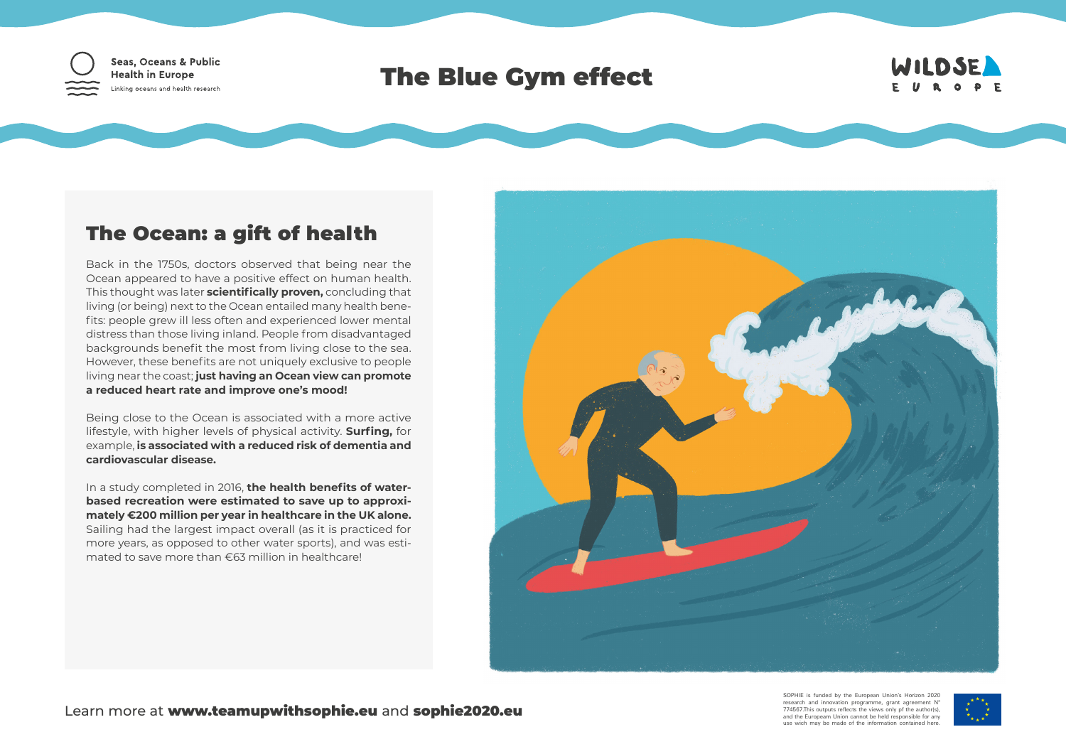

## The Blue Gym effect



## The Ocean: a gift of health

Back in the 1750s, doctors observed that being near the Ocean appeared to have a positive effect on human health. This thought was later **scientifically proven,** concluding that living (or being) next to the Ocean entailed many health benefits: people grew ill less often and experienced lower mental distress than those living inland. People from disadvantaged backgrounds benefit the most from living close to the sea. However, these benefits are not uniquely exclusive to people living near the coast; **just having an Ocean view can promote a reduced heart rate and improve one's mood!**

Being close to the Ocean is associated with a more active lifestyle, with higher levels of physical activity. **Surfing,** for example, **is associated with a reduced risk of dementia and cardiovascular disease.**

In a study completed in 2016, **the health benefits of waterbased recreation were estimated to save up to approximately €200 million per year in healthcare in the UK alone.** Sailing had the largest impact overall (as it is practiced for more years, as opposed to other water sports), and was estimated to save more than €63 million in healthcare!



SOPHIE is funded by the European Union's Horizon 2020 research and innovation programme, grant agreement Nº 774567.This outputs reflects the views only pf the author(s), and the Europeam Union cannot be held responsible for any use wich may be made of the information contained here.